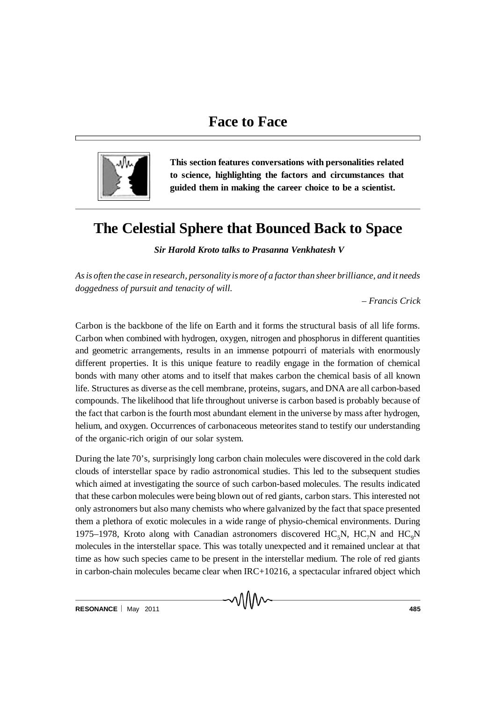# **Face to Face**



**This section features conversations with personalities related to science, highlighting the factors and circumstances that guided them in making the career choice to be a scientist.**

# **The Celestial Sphere that Bounced Back to Space**

*Sir Harold Kroto talks to Prasanna Venkhatesh V*

*As is often the case in research, personality is more of a factor than sheer brilliance, and it needs doggedness of pursuit and tenacity of will.*

– *Francis Crick*

Carbon is the backbone of the life on Earth and it forms the structural basis of all life forms. Carbon when combined with hydrogen, oxygen, nitrogen and phosphorus in different quantities and geometric arrangements, results in an immense potpourri of materials with enormously different properties. It is this unique feature to readily engage in the formation of chemical bonds with many other atoms and to itself that makes carbon the chemical basis of all known life. Structures as diverse as the cell membrane, proteins, sugars, and DNA are all carbon-based compounds. The likelihood that life throughout universe is carbon based is probably because of the fact that carbon is the fourth most abundant element in the universe by mass after hydrogen, helium, and oxygen. Occurrences of carbonaceous meteorites stand to testify our understanding of the organic-rich origin of our solar system.

During the late 70's, surprisingly long carbon chain molecules were discovered in the cold dark clouds of interstellar space by radio astronomical studies. This led to the subsequent studies which aimed at investigating the source of such carbon-based molecules. The results indicated that these carbon molecules were being blown out of red giants, carbon stars. This interested not only astronomers but also many chemists who where galvanized by the fact that space presented them a plethora of exotic molecules in a wide range of physio-chemical environments. During 1975–1978, Kroto along with Canadian astronomers discovered  $HC<sub>s</sub>N$ ,  $HC<sub>7</sub>N$  and  $HC<sub>0</sub>N$ molecules in the interstellar space. This was totally unexpected and it remained unclear at that time as how such species came to be present in the interstellar medium. The role of red giants in carbon-chain molecules became clear when IRC+10216, a spectacular infrared object which

MMM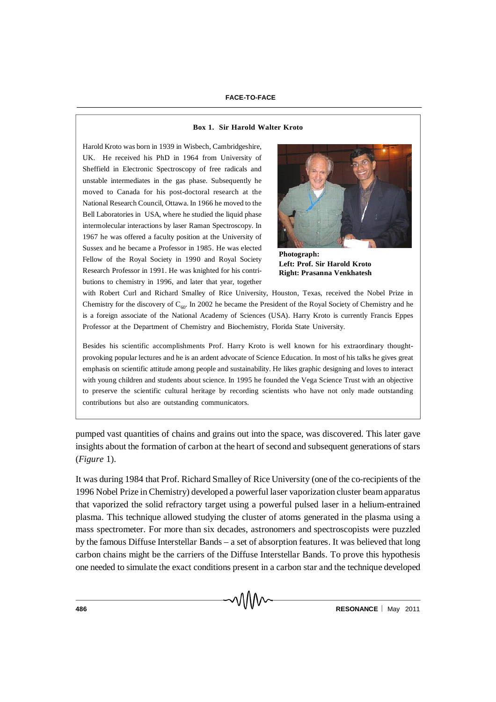#### **Box 1. Sir Harold Walter Kroto**

Harold Kroto was born in 1939 in Wisbech, Cambridgeshire, UK. He received his PhD in 1964 from University of Sheffield in Electronic Spectroscopy of free radicals and unstable intermediates in the gas phase. Subsequently he moved to Canada for his post-doctoral research at the National Research Council, Ottawa. In 1966 he moved to the Bell Laboratories in USA, where he studied the liquid phase intermolecular interactions by laser Raman Spectroscopy. In 1967 he was offered a faculty position at the University of Sussex and he became a Professor in 1985. He was elected Fellow of the Royal Society in 1990 and Royal Society Research Professor in 1991. He was knighted for his contributions to chemistry in 1996, and later that year, together



**Photograph: Left: Prof. Sir Harold Kroto Right: Prasanna Venkhatesh**

with Robert Curl and Richard Smalley of Rice University, Houston, Texas, received the Nobel Prize in Chemistry for the discovery of  $C_{60}$ . In 2002 he became the President of the Royal Society of Chemistry and he is a foreign associate of the National Academy of Sciences (USA). Harry Kroto is currently Francis Eppes Professor at the Department of Chemistry and Biochemistry, Florida State University.

Besides his scientific accomplishments Prof. Harry Kroto is well known for his extraordinary thoughtprovoking popular lectures and he is an ardent advocate of Science Education. In most of his talks he gives great emphasis on scientific attitude among people and sustainability. He likes graphic designing and loves to interact with young children and students about science. In 1995 he founded the Vega Science Trust with an objective to preserve the scientific cultural heritage by recording scientists who have not only made outstanding contributions but also are outstanding communicators.

pumped vast quantities of chains and grains out into the space, was discovered. This later gave insights about the formation of carbon at the heart of second and subsequent generations of stars (*Figure* 1).

It was during 1984 that Prof. Richard Smalley of Rice University (one of the co-recipients of the 1996 Nobel Prize in Chemistry) developed a powerful laser vaporization cluster beam apparatus that vaporized the solid refractory target using a powerful pulsed laser in a helium-entrained plasma. This technique allowed studying the cluster of atoms generated in the plasma using a mass spectrometer. For more than six decades, astronomers and spectroscopists were puzzled by the famous Diffuse Interstellar Bands – a set of absorption features. It was believed that long carbon chains might be the carriers of the Diffuse Interstellar Bands. To prove this hypothesis one needed to simulate the exact conditions present in a carbon star and the technique developed

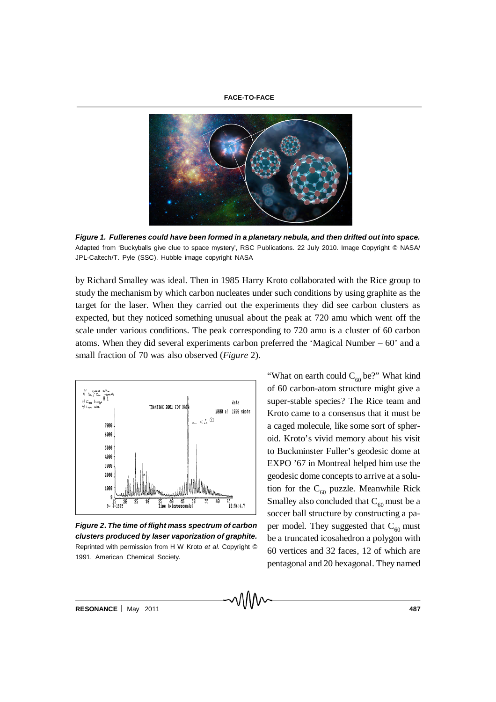

*Figure 1. Fullerenes could have been formed in a planetary nebula, and then drifted out into space.* Adapted from 'Buckyballs give clue to space mystery', RSC Publications. 22 July 2010. Image Copyright © NASA/ JPL-Caltech/T. Pyle (SSC). Hubble image copyright NASA

by Richard Smalley was ideal. Then in 1985 Harry Kroto collaborated with the Rice group to study the mechanism by which carbon nucleates under such conditions by using graphite as the target for the laser. When they carried out the experiments they did see carbon clusters as expected, but they noticed something unusual about the peak at 720 amu which went off the scale under various conditions. The peak corresponding to 720 amu is a cluster of 60 carbon atoms. When they did several experiments carbon preferred the 'Magical Number – 60' and a small fraction of 70 was also observed (*Figure* 2).



*Figure 2***.** *The time of flight mass spectrum of carbon clusters produced by laser vaporization of graphite.* Reprinted with permission from H W Kroto *et al*. Copyright © 1991, American Chemical Society.

"What on earth could  $C_{60}$  be?" What kind of 60 carbon-atom structure might give a super-stable species? The Rice team and Kroto came to a consensus that it must be a caged molecule, like some sort of spheroid. Kroto's vivid memory about his visit to Buckminster Fuller's geodesic dome at EXPO '67 in Montreal helped him use the geodesic dome concepts to arrive at a solution for the  $C_{60}$  puzzle. Meanwhile Rick Smalley also concluded that  $C_{60}$  must be a soccer ball structure by constructing a paper model. They suggested that  $C_{60}$  must be a truncated icosahedron a polygon with 60 vertices and 32 faces, 12 of which are pentagonal and 20 hexagonal. They named

**RESONANCE** | May 2011 **187 187 187 187 187 187**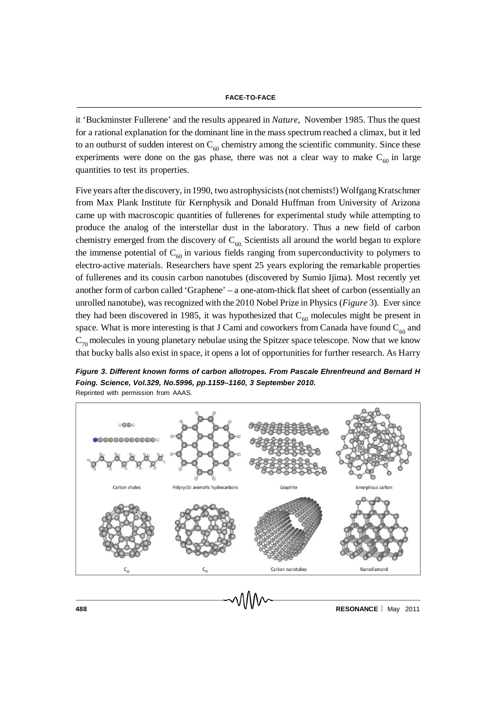it 'Buckminster Fullerene' and the results appeared in *Nature,* November 1985. Thus the quest for a rational explanation for the dominant line in the mass spectrum reached a climax, but it led to an outburst of sudden interest on  $C_{60}$  chemistry among the scientific community. Since these experiments were done on the gas phase, there was not a clear way to make  $C_{60}$  in large quantities to test its properties.

Five years after the discovery, in 1990, two astrophysicists (not chemists!) Wolfgang Kratschmer from Max Plank Institute für Kernphysik and Donald Huffman from University of Arizona came up with macroscopic quantities of fullerenes for experimental study while attempting to produce the analog of the interstellar dust in the laboratory. Thus a new field of carbon chemistry emerged from the discovery of  $C_{60}$  Scientists all around the world began to explore the immense potential of  $C_{60}$  in various fields ranging from superconductivity to polymers to electro-active materials. Researchers have spent 25 years exploring the remarkable properties of fullerenes and its cousin carbon nanotubes (discovered by Sumio Ijima). Most recently yet another form of carbon called 'Graphene' – a one-atom-thick flat sheet of carbon (essentially an unrolled nanotube), was recognized with the 2010 Nobel Prize in Physics (*Figure* 3). Ever since they had been discovered in 1985, it was hypothesized that  $C_{60}$  molecules might be present in space. What is more interesting is that J Cami and coworkers from Canada have found  $C_{60}$  and  $C_{70}$  molecules in young planetary nebulae using the Spitzer space telescope. Now that we know that bucky balls also exist in space, it opens a lot of opportunities for further research. As Harry

*Figure 3. Different known forms of carbon allotropes. From Pascale Ehrenfreund and Bernard H Foing. Science, Vol.329, No.5996, pp.1159–1160, 3 September 2010.* Reprinted with permission from AAAS.



**488 RESONANCE** May 2011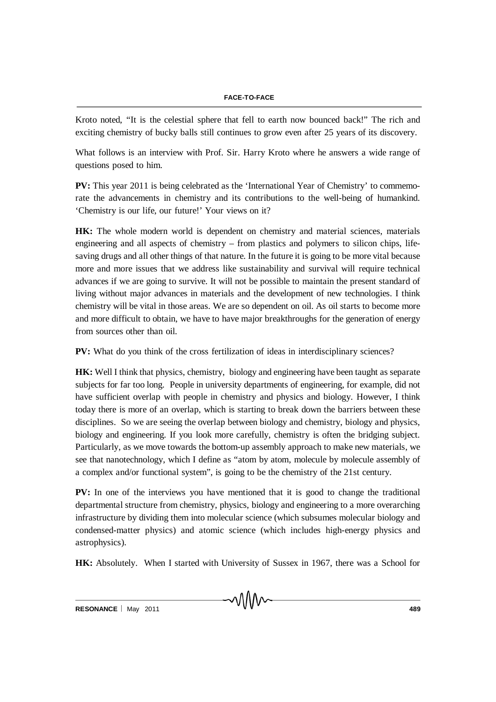Kroto noted, "It is the celestial sphere that fell to earth now bounced back!" The rich and exciting chemistry of bucky balls still continues to grow even after 25 years of its discovery.

What follows is an interview with Prof. Sir. Harry Kroto where he answers a wide range of questions posed to him.

**PV:** This year 2011 is being celebrated as the 'International Year of Chemistry' to commemorate the advancements in chemistry and its contributions to the well-being of humankind. 'Chemistry is our life, our future!' Your views on it?

**HK:** The whole modern world is dependent on chemistry and material sciences, materials engineering and all aspects of chemistry – from plastics and polymers to silicon chips, lifesaving drugs and all other things of that nature. In the future it is going to be more vital because more and more issues that we address like sustainability and survival will require technical advances if we are going to survive. It will not be possible to maintain the present standard of living without major advances in materials and the development of new technologies. I think chemistry will be vital in those areas. We are so dependent on oil. As oil starts to become more and more difficult to obtain, we have to have major breakthroughs for the generation of energy from sources other than oil.

**PV:** What do you think of the cross fertilization of ideas in interdisciplinary sciences?

**HK:** Well I think that physics, chemistry, biology and engineering have been taught as separate subjects for far too long. People in university departments of engineering, for example, did not have sufficient overlap with people in chemistry and physics and biology. However, I think today there is more of an overlap, which is starting to break down the barriers between these disciplines. So we are seeing the overlap between biology and chemistry, biology and physics, biology and engineering. If you look more carefully, chemistry is often the bridging subject. Particularly, as we move towards the bottom-up assembly approach to make new materials, we see that nanotechnology, which I define as "atom by atom, molecule by molecule assembly of a complex and/or functional system", is going to be the chemistry of the 21st century.

**PV:** In one of the interviews you have mentioned that it is good to change the traditional departmental structure from chemistry, physics, biology and engineering to a more overarching infrastructure by dividing them into molecular science (which subsumes molecular biology and condensed-matter physics) and atomic science (which includes high-energy physics and astrophysics).

**HK:** Absolutely. When I started with University of Sussex in 1967, there was a School for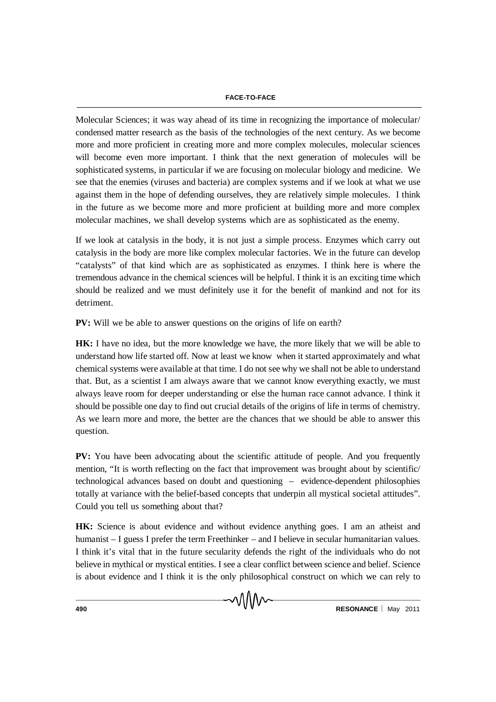Molecular Sciences; it was way ahead of its time in recognizing the importance of molecular/ condensed matter research as the basis of the technologies of the next century. As we become more and more proficient in creating more and more complex molecules, molecular sciences will become even more important. I think that the next generation of molecules will be sophisticated systems, in particular if we are focusing on molecular biology and medicine. We see that the enemies (viruses and bacteria) are complex systems and if we look at what we use against them in the hope of defending ourselves, they are relatively simple molecules. I think in the future as we become more and more proficient at building more and more complex molecular machines, we shall develop systems which are as sophisticated as the enemy.

If we look at catalysis in the body, it is not just a simple process. Enzymes which carry out catalysis in the body are more like complex molecular factories. We in the future can develop "catalysts" of that kind which are as sophisticated as enzymes. I think here is where the tremendous advance in the chemical sciences will be helpful. I think it is an exciting time which should be realized and we must definitely use it for the benefit of mankind and not for its detriment.

**PV:** Will we be able to answer questions on the origins of life on earth?

**HK:** I have no idea, but the more knowledge we have, the more likely that we will be able to understand how life started off. Now at least we know when it started approximately and what chemical systems were available at that time. I do not see why we shall not be able to understand that. But, as a scientist I am always aware that we cannot know everything exactly, we must always leave room for deeper understanding or else the human race cannot advance. I think it should be possible one day to find out crucial details of the origins of life in terms of chemistry. As we learn more and more, the better are the chances that we should be able to answer this question.

**PV:** You have been advocating about the scientific attitude of people. And you frequently mention, "It is worth reflecting on the fact that improvement was brought about by scientific/ technological advances based on doubt and questioning – evidence-dependent philosophies totally at variance with the belief-based concepts that underpin all mystical societal attitudes". Could you tell us something about that?

**HK:** Science is about evidence and without evidence anything goes. I am an atheist and humanist – I guess I prefer the term Freethinker – and I believe in secular humanitarian values. I think it's vital that in the future secularity defends the right of the individuals who do not believe in mythical or mystical entities. I see a clear conflict between science and belief. Science is about evidence and I think it is the only philosophical construct on which we can rely to

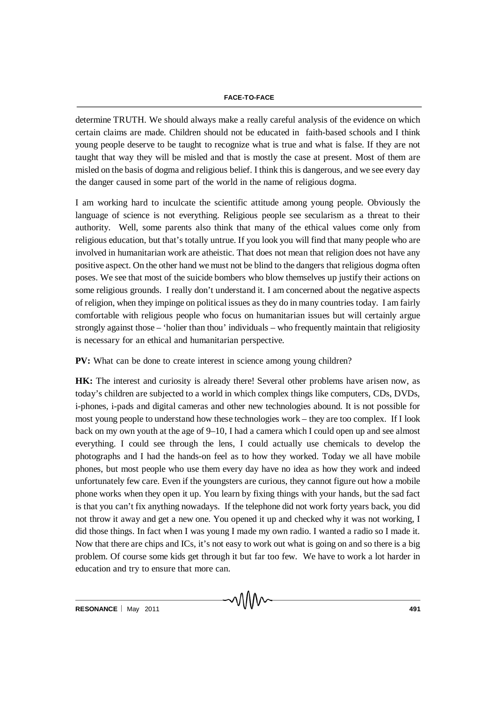determine TRUTH. We should always make a really careful analysis of the evidence on which certain claims are made. Children should not be educated in faith-based schools and I think young people deserve to be taught to recognize what is true and what is false. If they are not taught that way they will be misled and that is mostly the case at present. Most of them are misled on the basis of dogma and religious belief. I think this is dangerous, and we see every day the danger caused in some part of the world in the name of religious dogma.

I am working hard to inculcate the scientific attitude among young people. Obviously the language of science is not everything. Religious people see secularism as a threat to their authority. Well, some parents also think that many of the ethical values come only from religious education, but that's totally untrue. If you look you will find that many people who are involved in humanitarian work are atheistic. That does not mean that religion does not have any positive aspect. On the other hand we must not be blind to the dangers that religious dogma often poses. We see that most of the suicide bombers who blow themselves up justify their actions on some religious grounds. I really don't understand it. I am concerned about the negative aspects of religion, when they impinge on political issues as they do in many countries today. I am fairly comfortable with religious people who focus on humanitarian issues but will certainly argue strongly against those – 'holier than thou' individuals – who frequently maintain that religiosity is necessary for an ethical and humanitarian perspective.

**PV:** What can be done to create interest in science among young children?

**HK:** The interest and curiosity is already there! Several other problems have arisen now, as today's children are subjected to a world in which complex things like computers, CDs, DVDs, i-phones, i-pads and digital cameras and other new technologies abound. It is not possible for most young people to understand how these technologies work – they are too complex. If I look back on my own youth at the age of 9–10, I had a camera which I could open up and see almost everything. I could see through the lens, I could actually use chemicals to develop the photographs and I had the hands-on feel as to how they worked. Today we all have mobile phones, but most people who use them every day have no idea as how they work and indeed unfortunately few care. Even if the youngsters are curious, they cannot figure out how a mobile phone works when they open it up. You learn by fixing things with your hands, but the sad fact is that you can't fix anything nowadays. If the telephone did not work forty years back, you did not throw it away and get a new one. You opened it up and checked why it was not working, I did those things. In fact when I was young I made my own radio. I wanted a radio so I made it. Now that there are chips and ICs, it's not easy to work out what is going on and so there is a big problem. Of course some kids get through it but far too few. We have to work a lot harder in education and try to ensure that more can.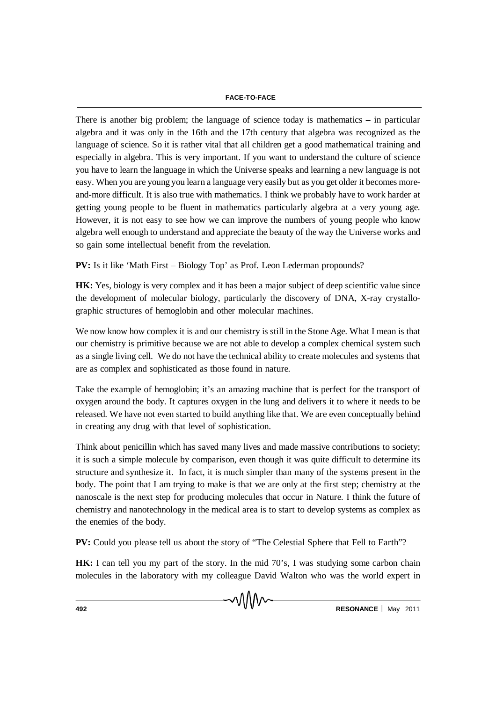There is another big problem; the language of science today is mathematics – in particular algebra and it was only in the 16th and the 17th century that algebra was recognized as the language of science. So it is rather vital that all children get a good mathematical training and especially in algebra. This is very important. If you want to understand the culture of science you have to learn the language in which the Universe speaks and learning a new language is not easy. When you are young you learn a language very easily but as you get older it becomes moreand-more difficult. It is also true with mathematics. I think we probably have to work harder at getting young people to be fluent in mathematics particularly algebra at a very young age. However, it is not easy to see how we can improve the numbers of young people who know algebra well enough to understand and appreciate the beauty of the way the Universe works and so gain some intellectual benefit from the revelation.

**PV:** Is it like 'Math First – Biology Top' as Prof. Leon Lederman propounds?

**HK:** Yes, biology is very complex and it has been a major subject of deep scientific value since the development of molecular biology, particularly the discovery of DNA, X-ray crystallographic structures of hemoglobin and other molecular machines.

We now know how complex it is and our chemistry is still in the Stone Age. What I mean is that our chemistry is primitive because we are not able to develop a complex chemical system such as a single living cell. We do not have the technical ability to create molecules and systems that are as complex and sophisticated as those found in nature.

Take the example of hemoglobin; it's an amazing machine that is perfect for the transport of oxygen around the body. It captures oxygen in the lung and delivers it to where it needs to be released. We have not even started to build anything like that. We are even conceptually behind in creating any drug with that level of sophistication.

Think about penicillin which has saved many lives and made massive contributions to society; it is such a simple molecule by comparison, even though it was quite difficult to determine its structure and synthesize it. In fact, it is much simpler than many of the systems present in the body. The point that I am trying to make is that we are only at the first step; chemistry at the nanoscale is the next step for producing molecules that occur in Nature. I think the future of chemistry and nanotechnology in the medical area is to start to develop systems as complex as the enemies of the body.

**PV:** Could you please tell us about the story of "The Celestial Sphere that Fell to Earth"?

**HK:** I can tell you my part of the story. In the mid 70's, I was studying some carbon chain molecules in the laboratory with my colleague David Walton who was the world expert in

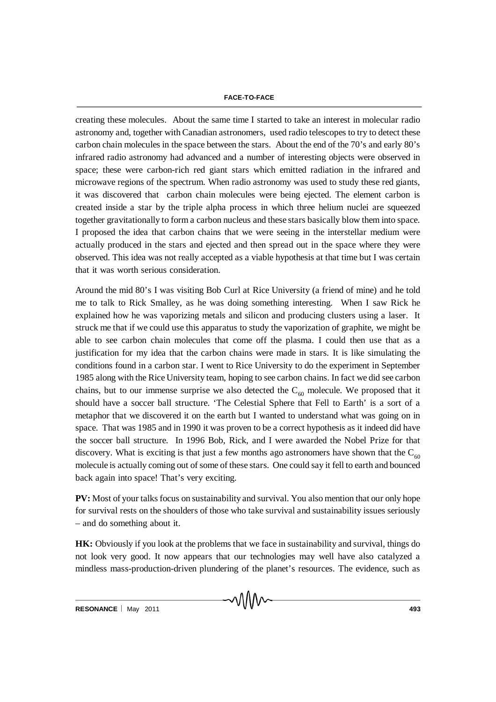creating these molecules. About the same time I started to take an interest in molecular radio astronomy and, together with Canadian astronomers, used radio telescopes to try to detect these carbon chain molecules in the space between the stars. About the end of the 70's and early 80's infrared radio astronomy had advanced and a number of interesting objects were observed in space; these were carbon-rich red giant stars which emitted radiation in the infrared and microwave regions of the spectrum. When radio astronomy was used to study these red giants, it was discovered that carbon chain molecules were being ejected. The element carbon is created inside a star by the triple alpha process in which three helium nuclei are squeezed together gravitationally to form a carbon nucleus and these stars basically blow them into space. I proposed the idea that carbon chains that we were seeing in the interstellar medium were actually produced in the stars and ejected and then spread out in the space where they were observed. This idea was not really accepted as a viable hypothesis at that time but I was certain that it was worth serious consideration.

Around the mid 80's I was visiting Bob Curl at Rice University (a friend of mine) and he told me to talk to Rick Smalley, as he was doing something interesting. When I saw Rick he explained how he was vaporizing metals and silicon and producing clusters using a laser. It struck me that if we could use this apparatus to study the vaporization of graphite, we might be able to see carbon chain molecules that come off the plasma. I could then use that as a justification for my idea that the carbon chains were made in stars. It is like simulating the conditions found in a carbon star. I went to Rice University to do the experiment in September 1985 along with the Rice University team, hoping to see carbon chains. In fact we did see carbon chains, but to our immense surprise we also detected the  $C_{60}$  molecule. We proposed that it should have a soccer ball structure. 'The Celestial Sphere that Fell to Earth' is a sort of a metaphor that we discovered it on the earth but I wanted to understand what was going on in space. That was 1985 and in 1990 it was proven to be a correct hypothesis as it indeed did have the soccer ball structure. In 1996 Bob, Rick, and I were awarded the Nobel Prize for that discovery. What is exciting is that just a few months ago astronomers have shown that the  $C_{60}$ molecule is actually coming out of some of these stars. One could say it fell to earth and bounced back again into space! That's very exciting.

**PV:** Most of your talks focus on sustainability and survival. You also mention that our only hope for survival rests on the shoulders of those who take survival and sustainability issues seriously – and do something about it.

**HK:** Obviously if you look at the problems that we face in sustainability and survival, things do not look very good. It now appears that our technologies may well have also catalyzed a mindless mass-production-driven plundering of the planet's resources. The evidence, such as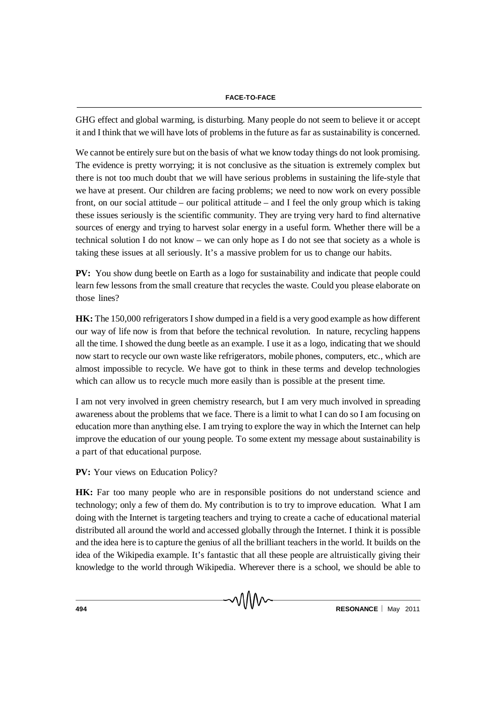GHG effect and global warming, is disturbing. Many people do not seem to believe it or accept it and I think that we will have lots of problems in the future as far as sustainability is concerned.

We cannot be entirely sure but on the basis of what we know today things do not look promising. The evidence is pretty worrying; it is not conclusive as the situation is extremely complex but there is not too much doubt that we will have serious problems in sustaining the life-style that we have at present. Our children are facing problems; we need to now work on every possible front, on our social attitude – our political attitude – and I feel the only group which is taking these issues seriously is the scientific community. They are trying very hard to find alternative sources of energy and trying to harvest solar energy in a useful form. Whether there will be a technical solution I do not know – we can only hope as I do not see that society as a whole is taking these issues at all seriously. It's a massive problem for us to change our habits.

**PV:** You show dung beetle on Earth as a logo for sustainability and indicate that people could learn few lessons from the small creature that recycles the waste. Could you please elaborate on those lines?

**HK:** The 150,000 refrigerators I show dumped in a field is a very good example as how different our way of life now is from that before the technical revolution. In nature, recycling happens all the time. I showed the dung beetle as an example. I use it as a logo, indicating that we should now start to recycle our own waste like refrigerators, mobile phones, computers, etc., which are almost impossible to recycle. We have got to think in these terms and develop technologies which can allow us to recycle much more easily than is possible at the present time.

I am not very involved in green chemistry research, but I am very much involved in spreading awareness about the problems that we face. There is a limit to what I can do so I am focusing on education more than anything else. I am trying to explore the way in which the Internet can help improve the education of our young people. To some extent my message about sustainability is a part of that educational purpose.

**PV:** Your views on Education Policy?

**HK:** Far too many people who are in responsible positions do not understand science and technology; only a few of them do. My contribution is to try to improve education. What I am doing with the Internet is targeting teachers and trying to create a cache of educational material distributed all around the world and accessed globally through the Internet. I think it is possible and the idea here is to capture the genius of all the brilliant teachers in the world. It builds on the idea of the Wikipedia example. It's fantastic that all these people are altruistically giving their knowledge to the world through Wikipedia. Wherever there is a school, we should be able to

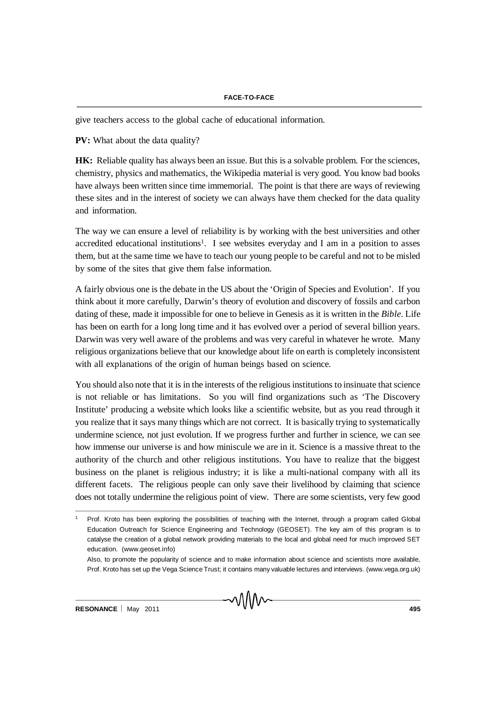give teachers access to the global cache of educational information.

**PV:** What about the data quality?

**HK:** Reliable quality has always been an issue. But this is a solvable problem. For the sciences, chemistry, physics and mathematics, the Wikipedia material is very good. You know bad books have always been written since time immemorial. The point is that there are ways of reviewing these sites and in the interest of society we can always have them checked for the data quality and information.

The way we can ensure a level of reliability is by working with the best universities and other accredited educational institutions<sup>1</sup>. I see websites everyday and I am in a position to asses them, but at the same time we have to teach our young people to be careful and not to be misled by some of the sites that give them false information.

A fairly obvious one is the debate in the US about the 'Origin of Species and Evolution'. If you think about it more carefully, Darwin's theory of evolution and discovery of fossils and carbon dating of these, made it impossible for one to believe in Genesis as it is written in the *Bible*. Life has been on earth for a long long time and it has evolved over a period of several billion years. Darwin was very well aware of the problems and was very careful in whatever he wrote. Many religious organizations believe that our knowledge about life on earth is completely inconsistent with all explanations of the origin of human beings based on science.

You should also note that it is in the interests of the religious institutions to insinuate that science is not reliable or has limitations. So you will find organizations such as 'The Discovery Institute' producing a website which looks like a scientific website, but as you read through it you realize that it says many things which are not correct. It is basically trying to systematically undermine science, not just evolution. If we progress further and further in science, we can see how immense our universe is and how miniscule we are in it. Science is a massive threat to the authority of the church and other religious institutions. You have to realize that the biggest business on the planet is religious industry; it is like a multi-national company with all its different facets. The religious people can only save their livelihood by claiming that science does not totally undermine the religious point of view. There are some scientists, very few good

MM

<sup>1</sup> Prof. Kroto has been exploring the possibilities of teaching with the Internet, through a program called Global Education Outreach for Science Engineering and Technology (GEOSET). The key aim of this program is to catalyse the creation of a global network providing materials to the local and global need for much improved SET education. (www.geoset.info)

Also, to promote the popularity of science and to make information about science and scientists more available, Prof. Kroto has set up the Vega Science Trust; it contains many valuable lectures and interviews. (www.vega.org.uk)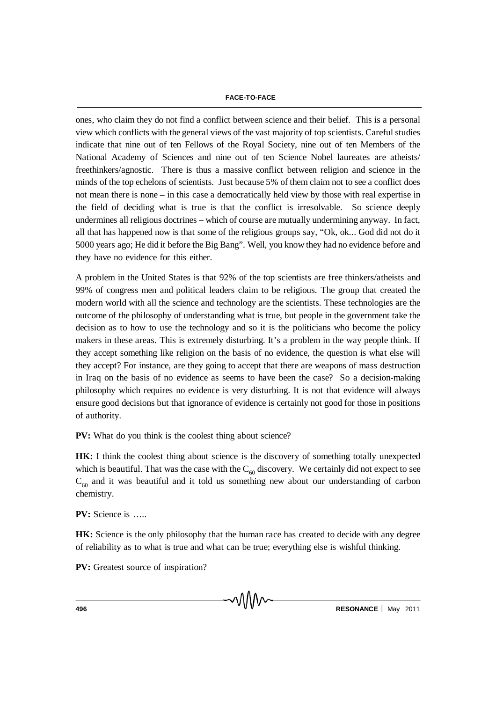ones, who claim they do not find a conflict between science and their belief. This is a personal view which conflicts with the general views of the vast majority of top scientists. Careful studies indicate that nine out of ten Fellows of the Royal Society, nine out of ten Members of the National Academy of Sciences and nine out of ten Science Nobel laureates are atheists/ freethinkers/agnostic. There is thus a massive conflict between religion and science in the minds of the top echelons of scientists. Just because 5% of them claim not to see a conflict does not mean there is none – in this case a democratically held view by those with real expertise in the field of deciding what is true is that the conflict is irresolvable. So science deeply undermines all religious doctrines – which of course are mutually undermining anyway. In fact, all that has happened now is that some of the religious groups say, "Ok, ok... God did not do it 5000 years ago; He did it before the Big Bang". Well, you know they had no evidence before and they have no evidence for this either.

A problem in the United States is that 92% of the top scientists are free thinkers/atheists and 99% of congress men and political leaders claim to be religious. The group that created the modern world with all the science and technology are the scientists. These technologies are the outcome of the philosophy of understanding what is true, but people in the government take the decision as to how to use the technology and so it is the politicians who become the policy makers in these areas. This is extremely disturbing. It's a problem in the way people think. If they accept something like religion on the basis of no evidence, the question is what else will they accept? For instance, are they going to accept that there are weapons of mass destruction in Iraq on the basis of no evidence as seems to have been the case? So a decision-making philosophy which requires no evidence is very disturbing. It is not that evidence will always ensure good decisions but that ignorance of evidence is certainly not good for those in positions of authority.

**PV:** What do you think is the coolest thing about science?

**HK:** I think the coolest thing about science is the discovery of something totally unexpected which is beautiful. That was the case with the  $C_{60}$  discovery. We certainly did not expect to see  $C_{60}$  and it was beautiful and it told us something new about our understanding of carbon chemistry.

**PV:** Science is …..

**HK:** Science is the only philosophy that the human race has created to decide with any degree of reliability as to what is true and what can be true; everything else is wishful thinking.

**PV:** Greatest source of inspiration?

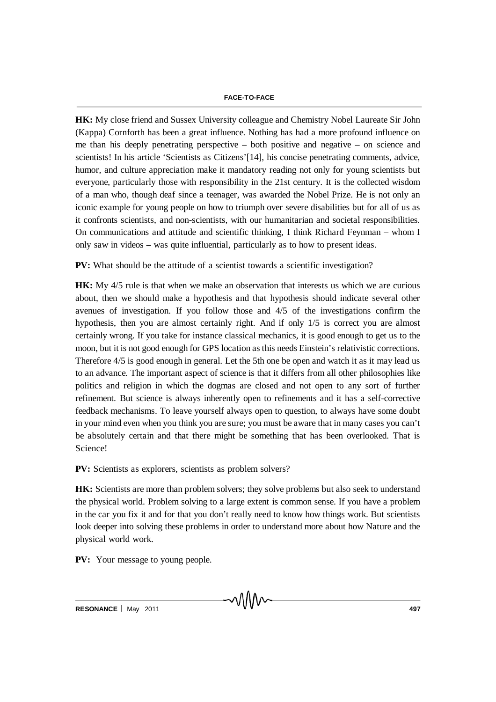**HK:** My close friend and Sussex University colleague and Chemistry Nobel Laureate Sir John (Kappa) Cornforth has been a great influence. Nothing has had a more profound influence on me than his deeply penetrating perspective – both positive and negative – on science and scientists! In his article 'Scientists as Citizens'[14], his concise penetrating comments, advice, humor, and culture appreciation make it mandatory reading not only for young scientists but everyone, particularly those with responsibility in the 21st century. It is the collected wisdom of a man who, though deaf since a teenager, was awarded the Nobel Prize. He is not only an iconic example for young people on how to triumph over severe disabilities but for all of us as it confronts scientists, and non-scientists, with our humanitarian and societal responsibilities. On communications and attitude and scientific thinking, I think Richard Feynman – whom I only saw in videos – was quite influential, particularly as to how to present ideas.

**PV:** What should be the attitude of a scientist towards a scientific investigation?

**HK:** My 4/5 rule is that when we make an observation that interests us which we are curious about, then we should make a hypothesis and that hypothesis should indicate several other avenues of investigation. If you follow those and 4/5 of the investigations confirm the hypothesis, then you are almost certainly right. And if only 1/5 is correct you are almost certainly wrong. If you take for instance classical mechanics, it is good enough to get us to the moon, but it is not good enough for GPS location as this needs Einstein's relativistic corrections. Therefore 4/5 is good enough in general. Let the 5th one be open and watch it as it may lead us to an advance. The important aspect of science is that it differs from all other philosophies like politics and religion in which the dogmas are closed and not open to any sort of further refinement. But science is always inherently open to refinements and it has a self-corrective feedback mechanisms. To leave yourself always open to question, to always have some doubt in your mind even when you think you are sure; you must be aware that in many cases you can't be absolutely certain and that there might be something that has been overlooked. That is Science!

**PV:** Scientists as explorers, scientists as problem solvers?

**HK:** Scientists are more than problem solvers; they solve problems but also seek to understand the physical world. Problem solving to a large extent is common sense. If you have a problem in the car you fix it and for that you don't really need to know how things work. But scientists look deeper into solving these problems in order to understand more about how Nature and the physical world work.

**PV:** Your message to young people.